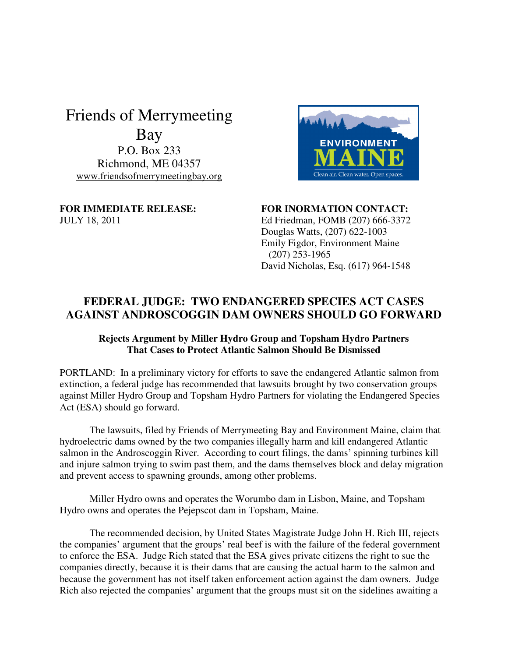## Friends of Merrymeeting Bay

P.O. Box 233 Richmond, ME 04357 www.friendsofmerrymeetingbay.org



FOR IMMEDIATE RELEASE: FOR INORMATION CONTACT: JULY 18, 2011 Ed Friedman, FOMB (207) 666-3372 Douglas Watts, (207) 622-1003 Emily Figdor, Environment Maine (207) 253-1965 David Nicholas, Esq. (617) 964-1548

## **FEDERAL JUDGE: TWO ENDANGERED SPECIES ACT CASES AGAINST ANDROSCOGGIN DAM OWNERS SHOULD GO FORWARD**

## **Rejects Argument by Miller Hydro Group and Topsham Hydro Partners That Cases to Protect Atlantic Salmon Should Be Dismissed**

PORTLAND: In a preliminary victory for efforts to save the endangered Atlantic salmon from extinction, a federal judge has recommended that lawsuits brought by two conservation groups against Miller Hydro Group and Topsham Hydro Partners for violating the Endangered Species Act (ESA) should go forward.

The lawsuits, filed by Friends of Merrymeeting Bay and Environment Maine, claim that hydroelectric dams owned by the two companies illegally harm and kill endangered Atlantic salmon in the Androscoggin River. According to court filings, the dams' spinning turbines kill and injure salmon trying to swim past them, and the dams themselves block and delay migration and prevent access to spawning grounds, among other problems.

Miller Hydro owns and operates the Worumbo dam in Lisbon, Maine, and Topsham Hydro owns and operates the Pejepscot dam in Topsham, Maine.

 The recommended decision, by United States Magistrate Judge John H. Rich III, rejects the companies' argument that the groups' real beef is with the failure of the federal government to enforce the ESA. Judge Rich stated that the ESA gives private citizens the right to sue the companies directly, because it is their dams that are causing the actual harm to the salmon and because the government has not itself taken enforcement action against the dam owners. Judge Rich also rejected the companies' argument that the groups must sit on the sidelines awaiting a